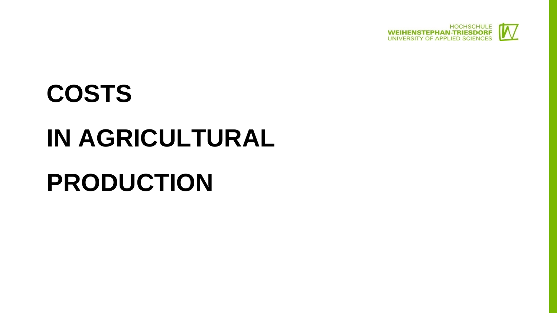

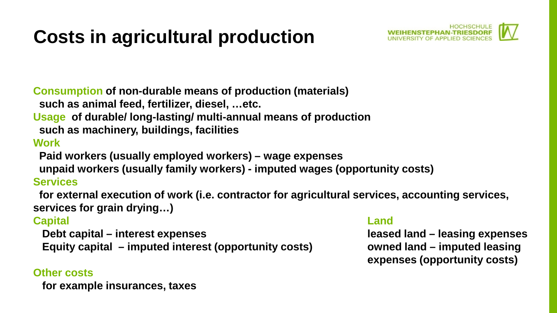# **Costs in agricultural production**



**Consumption of non-durable means of production (materials)** 

 **such as animal feed, fertilizer, diesel, …etc.**

**Usage of durable/ long-lasting/ multi-annual means of production**

 **such as machinery, buildings, facilities**

### **Work**

 **Paid workers (usually employed workers) – wage expenses unpaid workers (usually family workers) - imputed wages (opportunity costs)**

### **Services**

 **for external execution of work (i.e. contractor for agricultural services, accounting services, services for grain drying…)**

## **Capital Land**

 **Debt capital – interest expenses leased land – leasing expenses Equity capital – imputed interest (opportunity costs) owned land – imputed leasing** 

#### **Other costs**

 **for example insurances, taxes**

**expenses (opportunity costs)**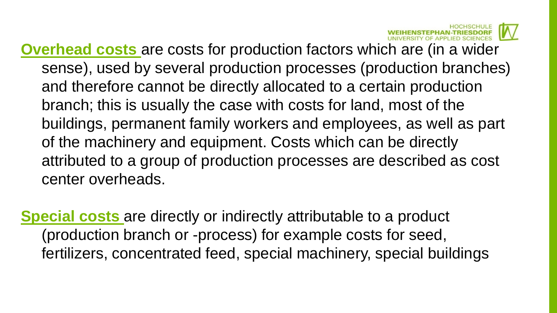

**Overhead costs** are costs for production factors which are (in a wider sense), used by several production processes (production branches) and therefore cannot be directly allocated to a certain production branch; this is usually the case with costs for land, most of the buildings, permanent family workers and employees, as well as part of the machinery and equipment. Costs which can be directly attributed to a group of production processes are described as cost center overheads.

**Special costs** are directly or indirectly attributable to a product (production branch or -process) for example costs for seed, fertilizers, concentrated feed, special machinery, special buildings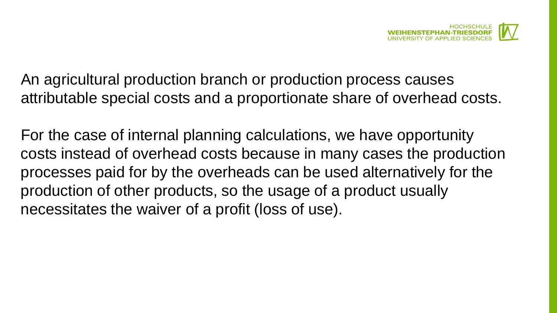

An agricultural production branch or production process causes attributable special costs and a proportionate share of overhead costs.

For the case of internal planning calculations, we have opportunity costs instead of overhead costs because in many cases the production processes paid for by the overheads can be used alternatively for the production of other products, so the usage of a product usually necessitates the waiver of a profit (loss of use).